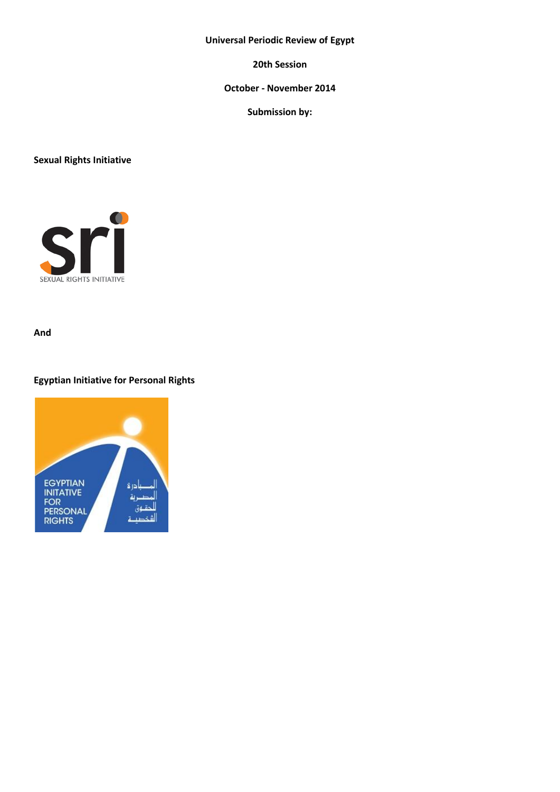# **Universal Periodic Review of Egypt**

**20th Session**

# **October - November 2014**

**Submission by:**

**Sexual Rights Initiative**



**And** 

# **Egyptian Initiative for Personal Rights**

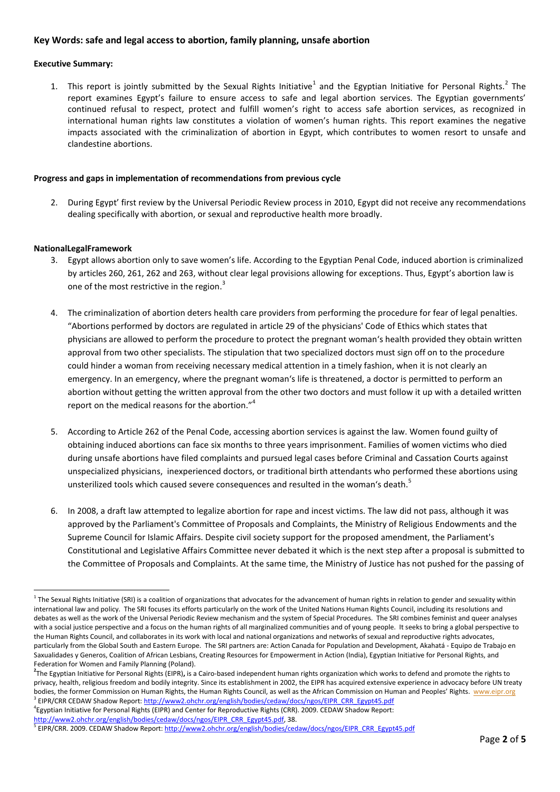## **Key Words: safe and legal access to abortion, family planning, unsafe abortion**

### **Executive Summary:**

1. This report is jointly submitted by the Sexual Rights Initiative<sup>1</sup> and the Egyptian Initiative for Personal Rights.<sup>2</sup> The report examines Egypt's failure to ensure access to safe and legal abortion services. The Egyptian governments' continued refusal to respect, protect and fulfill women's right to access safe abortion services, as recognized in international human rights law constitutes a violation of women's human rights. This report examines the negative impacts associated with the criminalization of abortion in Egypt, which contributes to women resort to unsafe and clandestine abortions.

#### **Progress and gaps in implementation of recommendations from previous cycle**

2. During Egypt' first review by the Universal Periodic Review process in 2010, Egypt did not receive any recommendations dealing specifically with abortion, or sexual and reproductive health more broadly.

#### **NationalLegalFramework**

1

- 3. Egypt allows abortion only to save women's life. According to the Egyptian Penal Code, induced abortion is criminalized by articles 260, 261, 262 and 263, without clear legal provisions allowing for exceptions. Thus, Egypt's abortion law is one of the most restrictive in the region.<sup>3</sup>
- 4. The criminalization of abortion deters health care providers from performing the procedure for fear of legal penalties. "Abortions performed by doctors are regulated in article 29 of the physicians' Code of Ethics which states that physicians are allowed to perform the procedure to protect the pregnant woman's health provided they obtain written approval from two other specialists. The stipulation that two specialized doctors must sign off on to the procedure could hinder a woman from receiving necessary medical attention in a timely fashion, when it is not clearly an emergency. In an emergency, where the pregnant woman's life is threatened, a doctor is permitted to perform an abortion without getting the written approval from the other two doctors and must follow it up with a detailed written report on the medical reasons for the abortion."<sup>4</sup>
- 5. According to Article 262 of the Penal Code, accessing abortion services is against the law. Women found guilty of obtaining induced abortions can face six months to three years imprisonment. Families of women victims who died during unsafe abortions have filed complaints and pursued legal cases before Criminal and Cassation Courts against unspecialized physicians, inexperienced doctors, or traditional birth attendants who performed these abortions using unsterilized tools which caused severe consequences and resulted in the woman's death.<sup>5</sup>
- 6. In 2008, a draft law attempted to legalize abortion for rape and incest victims. The law did not pass, although it was approved by the Parliament's Committee of Proposals and Complaints, the Ministry of Religious Endowments and the Supreme Council for Islamic Affairs. Despite civil society support for the proposed amendment, the Parliament's Constitutional and Legislative Affairs Committee never debated it which is the next step after a proposal is submitted to the Committee of Proposals and Complaints. At the same time, the Ministry of Justice has not pushed for the passing of

4 Egyptian Initiative for Personal Rights (EIPR) and Center for Reproductive Rights (CRR). 2009. CEDAW Shadow Report: [http://www2.ohchr.org/english/bodies/cedaw/docs/ngos/EIPR\\_CRR\\_Egypt45.pdf,](http://www2.ohchr.org/english/bodies/cedaw/docs/ngos/EIPR_CRR_Egypt45.pdf) 38.

 $1$  The Sexual Rights Initiative (SRI) is a coalition of organizations that advocates for the advancement of human rights in relation to gender and sexuality within international law and policy. The SRI focuses its efforts particularly on the work of the United Nations Human Rights Council, including its resolutions and debates as well as the work of the Universal Periodic Review mechanism and the system of Special Procedures. The SRI combines feminist and queer analyses with a social justice perspective and a focus on the human rights of all marginalized communities and of young people. It seeks to bring a global perspective to the Human Rights Council, and collaborates in its work with local and national organizations and networks of sexual and reproductive rights advocates, particularly from the Global South and Eastern Europe. The SRI partners are: Action Canada for Population and Development, Akahatá - Equipo de Trabajo en Saxualidades y Generos, Coalition of African Lesbians, Creating Resources for Empowerment in Action (India), Egyptian Initiative for Personal Rights, and Federation for Women and Family Planning (Poland).

**<sup>2</sup>** The Egyptian Initiative for Personal Rights (EIPR)**,** is a Cairo-based independent human rights organization which works to defend and promote the rights to privacy, health, religious freedom and bodily integrity. Since its establishment in 2002, the EIPR has acquired extensive experience in advocacy before UN treaty bodies, the former Commission on Human Rights, the Human Rights Council, as well as the African Commission on Human and Peoples' Rights. [www.eipr.org](http://www.eipr.org/) <sup>3</sup> EIPR/CRR CEDAW Shadow Report[: http://www2.ohchr.org/english/bodies/cedaw/docs/ngos/EIPR\\_CRR\\_Egypt45.pdf](http://www2.ohchr.org/english/bodies/cedaw/docs/ngos/EIPR_CRR_Egypt45.pdf)

<sup>&</sup>lt;sup>5</sup> EIPR/CRR. 2009. CEDAW Shadow Report[: http://www2.ohchr.org/english/bodies/cedaw/docs/ngos/EIPR\\_CRR\\_Egypt45.pdf](http://www2.ohchr.org/english/bodies/cedaw/docs/ngos/EIPR_CRR_Egypt45.pdf)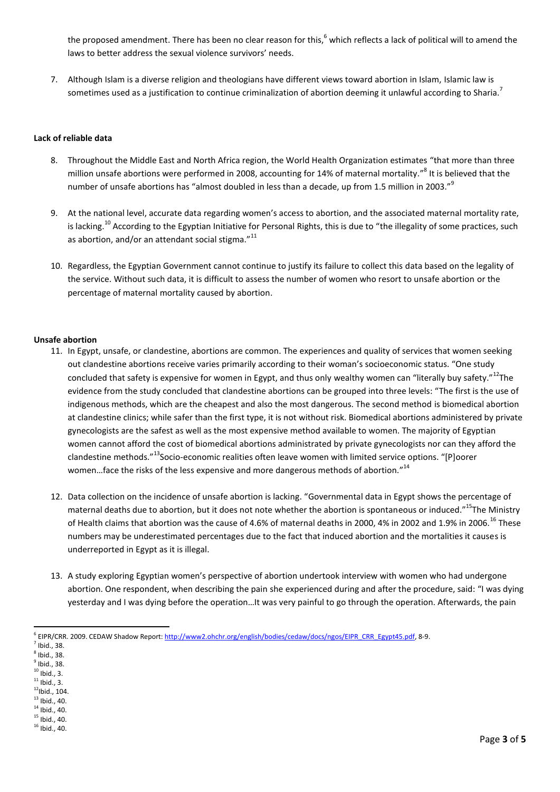the proposed amendment. There has been no clear reason for this, <sup>6</sup> which reflects a lack of political will to amend the laws to better address the sexual violence survivors' needs.

7. Although Islam is a diverse religion and theologians have different views toward abortion in Islam, Islamic law is sometimes used as a justification to continue criminalization of abortion deeming it unlawful according to Sharia.<sup>7</sup>

### **Lack of reliable data**

- 8. Throughout the Middle East and North Africa region, the World Health Organization estimates "that more than three million unsafe abortions were performed in 2008, accounting for 14% of maternal mortality."<sup>8</sup> It is believed that the number of unsafe abortions has "almost doubled in less than a decade, up from 1.5 million in 2003."<sup>9</sup>
- 9. At the national level, accurate data regarding women's access to abortion, and the associated maternal mortality rate, is lacking.<sup>10</sup> According to the Egyptian Initiative for Personal Rights, this is due to "the illegality of some practices, such as abortion, and/or an attendant social stigma."<sup>11</sup>
- 10. Regardless, the Egyptian Government cannot continue to justify its failure to collect this data based on the legality of the service. Without such data, it is difficult to assess the number of women who resort to unsafe abortion or the percentage of maternal mortality caused by abortion.

#### **Unsafe abortion**

- 11. In Egypt, unsafe, or clandestine, abortions are common. The experiences and quality of services that women seeking out clandestine abortions receive varies primarily according to their woman's socioeconomic status. "One study concluded that safety is expensive for women in Egypt, and thus only wealthy women can "literally buy safety."<sup>12</sup>The evidence from the study concluded that clandestine abortions can be grouped into three levels: "The first is the use of indigenous methods, which are the cheapest and also the most dangerous. The second method is biomedical abortion at clandestine clinics; while safer than the first type, it is not without risk. Biomedical abortions administered by private gynecologists are the safest as well as the most expensive method available to women. The majority of Egyptian women cannot afford the cost of biomedical abortions administrated by private gynecologists nor can they afford the clandestine methods."<sup>13</sup>Socio-economic realities often leave women with limited service options. "[P]oorer women...face the risks of the less expensive and more dangerous methods of abortion."<sup>14</sup>
- 12. Data collection on the incidence of unsafe abortion is lacking. "Governmental data in Egypt shows the percentage of maternal deaths due to abortion, but it does not note whether the abortion is spontaneous or induced."<sup>15</sup>The Ministry of Health claims that abortion was the cause of 4.6% of maternal deaths in 2000, 4% in 2002 and 1.9% in 2006.<sup>16</sup> These numbers may be underestimated percentages due to the fact that induced abortion and the mortalities it causes is underreported in Egypt as it is illegal.
- 13. A study exploring Egyptian women's perspective of abortion undertook interview with women who had undergone abortion. One respondent, when describing the pain she experienced during and after the procedure, said: "I was dying yesterday and I was dying before the operation…It was very painful to go through the operation. Afterwards, the pain

1

- $11$  Ibid., 3.
- $12$ Ibid., 104.
- $13$  Ibid., 40.
- $14$  Ibid., 40.
- $15$  Ibid., 40.
- $16$  Ibid., 40.

<sup>&</sup>lt;sup>6</sup> EIPR/CRR. 2009. CEDAW Shadow Report[: http://www2.ohchr.org/english/bodies/cedaw/docs/ngos/EIPR\\_CRR\\_Egypt45.pdf,](http://www2.ohchr.org/english/bodies/cedaw/docs/ngos/EIPR_CRR_Egypt45.pdf) 8-9.

 $<sup>7</sup>$  Ibid., 38.</sup>

 $<sup>8</sup>$  Ibid., 38.</sup>

 $<sup>9</sup>$  Ibid., 38.</sup>  $10$  Ibid., 3.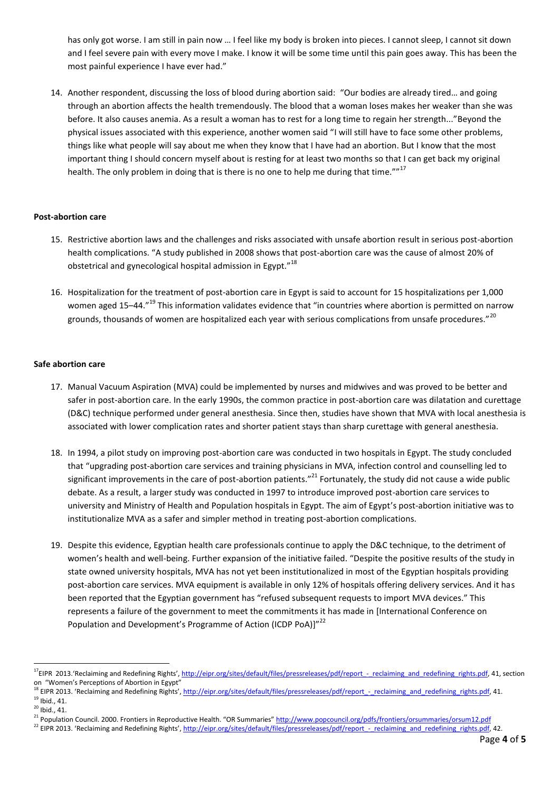has only got worse. I am still in pain now ... I feel like my body is broken into pieces. I cannot sleep, I cannot sit down and I feel severe pain with every move I make. I know it will be some time until this pain goes away. This has been the most painful experience I have ever had."

14. Another respondent, discussing the loss of blood during abortion said: "Our bodies are already tired… and going through an abortion affects the health tremendously. The blood that a woman loses makes her weaker than she was before. It also causes anemia. As a result a woman has to rest for a long time to regain her strength..."Beyond the physical issues associated with this experience, another women said "I will still have to face some other problems, things like what people will say about me when they know that I have had an abortion. But I know that the most important thing I should concern myself about is resting for at least two months so that I can get back my original health. The only problem in doing that is there is no one to help me during that time.""<sup>17</sup>

### **Post-abortion care**

- 15. Restrictive abortion laws and the challenges and risks associated with unsafe abortion result in serious post-abortion health complications. "A study published in 2008 shows that post-abortion care was the cause of almost 20% of obstetrical and gynecological hospital admission in Egypt."<sup>18</sup>
- 16. Hospitalization for the treatment of post-abortion care in Egypt is said to account for 15 hospitalizations per 1,000 women aged 15–44."<sup>19</sup> This information validates evidence that "in countries where abortion is permitted on narrow grounds, thousands of women are hospitalized each year with serious complications from unsafe procedures."<sup>20</sup>

## **Safe abortion care**

- 17. Manual Vacuum Aspiration (MVA) could be implemented by nurses and midwives and was proved to be better and safer in post-abortion care. In the early 1990s, the common practice in post-abortion care was dilatation and curettage (D&C) technique performed under general anesthesia. Since then, studies have shown that MVA with local anesthesia is associated with lower complication rates and shorter patient stays than sharp curettage with general anesthesia.
- 18. In 1994, a pilot study on improving post-abortion care was conducted in two hospitals in Egypt. The study concluded that "upgrading post-abortion care services and training physicians in MVA, infection control and counselling led to significant improvements in the care of post-abortion patients."<sup>21</sup> Fortunately, the study did not cause a wide public debate. As a result, a larger study was conducted in 1997 to introduce improved post-abortion care services to university and Ministry of Health and Population hospitals in Egypt. The aim of Egypt's post-abortion initiative was to institutionalize MVA as a safer and simpler method in treating post-abortion complications.
- 19. Despite this evidence, Egyptian health care professionals continue to apply the D&C technique, to the detriment of women's health and well-being. Further expansion of the initiative failed. "Despite the positive results of the study in state owned university hospitals, MVA has not yet been institutionalized in most of the Egyptian hospitals providing post-abortion care services. MVA equipment is available in only 12% of hospitals offering delivery services. And it has been reported that the Egyptian government has "refused subsequent requests to import MVA devices." This represents a failure of the government to meet the commitments it has made in [International Conference on Population and Development's Programme of Action (ICDP PoA)]"<sup>22</sup>

**.** 

<sup>&</sup>lt;sup>17</sup>EIPR 2013.'Reclaiming and Redefining Rights', http://eipr.org/sites/default/files/pressreleases/pdf/report - reclaiming and redefining rights.pdf, 41, section on "Women's Perceptions of Abortion in Egypt"

<sup>&</sup>lt;sup>18</sup> EIPR 2013. 'Reclaiming and Redefining Rights', http://eipr.org/sites/default/files/pressreleases/pdf/report - reclaiming\_and\_redefining\_rights.pdf, 41.  $19$  Ibid., 41.

 $20$  Ibid., 41.

<sup>&</sup>lt;sup>21</sup> Population Council. 2000. Frontiers in Reproductive Health. "OR Summaries" <http://www.popcouncil.org/pdfs/frontiers/orsummaries/orsum12.pdf>

<sup>&</sup>lt;sup>22</sup> EIPR 2013. 'Reclaiming and Redefining Rights', http://eipr.org/sites/default/files/pressreleases/pdf/report - reclaiming and redefining rights.pdf, 42.